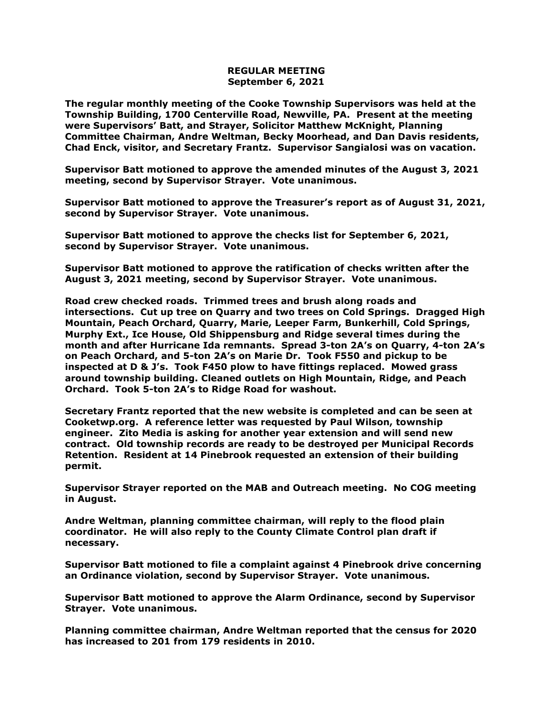## **REGULAR MEETING September 6, 2021**

**The regular monthly meeting of the Cooke Township Supervisors was held at the Township Building, 1700 Centerville Road, Newville, PA. Present at the meeting were Supervisors' Batt, and Strayer, Solicitor Matthew McKnight, Planning Committee Chairman, Andre Weltman, Becky Moorhead, and Dan Davis residents, Chad Enck, visitor, and Secretary Frantz. Supervisor Sangialosi was on vacation.**

**Supervisor Batt motioned to approve the amended minutes of the August 3, 2021 meeting, second by Supervisor Strayer. Vote unanimous.** 

**Supervisor Batt motioned to approve the Treasurer's report as of August 31, 2021, second by Supervisor Strayer. Vote unanimous.**

**Supervisor Batt motioned to approve the checks list for September 6, 2021, second by Supervisor Strayer. Vote unanimous.**

**Supervisor Batt motioned to approve the ratification of checks written after the August 3, 2021 meeting, second by Supervisor Strayer. Vote unanimous.**

**Road crew checked roads. Trimmed trees and brush along roads and intersections. Cut up tree on Quarry and two trees on Cold Springs. Dragged High Mountain, Peach Orchard, Quarry, Marie, Leeper Farm, Bunkerhill, Cold Springs, Murphy Ext., Ice House, Old Shippensburg and Ridge several times during the month and after Hurricane Ida remnants. Spread 3-ton 2A's on Quarry, 4-ton 2A's on Peach Orchard, and 5-ton 2A's on Marie Dr. Took F550 and pickup to be inspected at D & J's. Took F450 plow to have fittings replaced. Mowed grass around township building. Cleaned outlets on High Mountain, Ridge, and Peach Orchard. Took 5-ton 2A's to Ridge Road for washout.**

**Secretary Frantz reported that the new website is completed and can be seen at Cooketwp.org. A reference letter was requested by Paul Wilson, township engineer. Zito Media is asking for another year extension and will send new contract. Old township records are ready to be destroyed per Municipal Records Retention. Resident at 14 Pinebrook requested an extension of their building permit.**

**Supervisor Strayer reported on the MAB and Outreach meeting. No COG meeting in August.**

**Andre Weltman, planning committee chairman, will reply to the flood plain coordinator. He will also reply to the County Climate Control plan draft if necessary.**

**Supervisor Batt motioned to file a complaint against 4 Pinebrook drive concerning an Ordinance violation, second by Supervisor Strayer. Vote unanimous.**

**Supervisor Batt motioned to approve the Alarm Ordinance, second by Supervisor Strayer. Vote unanimous.**

**Planning committee chairman, Andre Weltman reported that the census for 2020 has increased to 201 from 179 residents in 2010.**